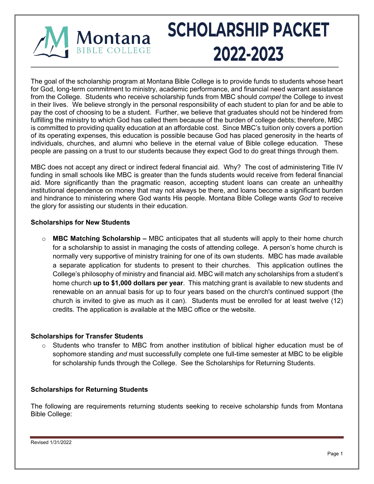

# **SCHOLARSHIP PACKET**  $\blacksquare$

The goal of the scholarship program at Montana Bible College is to provide funds to students whose heart for God, long-term commitment to ministry, academic performance, and financial need warrant assistance from the College. Students who receive scholarship funds from MBC should *compel* the College to invest in their lives. We believe strongly in the personal responsibility of each student to plan for and be able to pay the cost of choosing to be a student. Further, we believe that graduates should not be hindered from fulfilling the ministry to which God has called them because of the burden of college debts; therefore, MBC is committed to providing quality education at an affordable cost. Since MBC's tuition only covers a portion of its operating expenses, this education is possible because God has placed generosity in the hearts of individuals, churches, and alumni who believe in the eternal value of Bible college education. These people are passing on a trust to our students because they expect God to do great things through them.

MBC does not accept any direct or indirect federal financial aid. Why? The cost of administering Title IV funding in small schools like MBC is greater than the funds students would receive from federal financial aid. More significantly than the pragmatic reason, accepting student loans can create an unhealthy institutional dependence on money that may not always be there, and loans become a significant burden and hindrance to ministering where God wants His people. Montana Bible College wants *God* to receive the glory for assisting our students in their education.

### **Scholarships for New Students**

o **MBC Matching Scholarship –** MBC anticipates that all students will apply to their home church for a scholarship to assist in managing the costs of attending college. A person's home church is normally very supportive of ministry training for one of its own students. MBC has made available a separate application for students to present to their churches. This application outlines the College's philosophy of ministry and financial aid. MBC will match any scholarships from a student's home church **up to \$1,000 dollars per year**. This matching grant is available to new students and renewable on an annual basis for up to four years based on the church's continued support (the church is invited to give as much as it can). Students must be enrolled for at least twelve (12) credits. The application is available at the MBC office or the website.

#### **Scholarships for Transfer Students**

 $\circ$  Students who transfer to MBC from another institution of biblical higher education must be of sophomore standing *and* must successfully complete one full-time semester at MBC to be eligible for scholarship funds through the College. See the Scholarships for Returning Students.

#### **Scholarships for Returning Students**

The following are requirements returning students seeking to receive scholarship funds from Montana Bible College: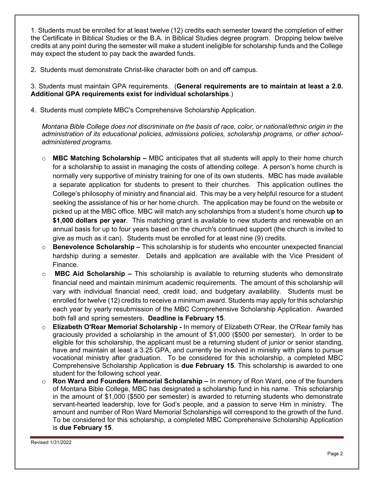1. Students must be enrolled for at least twelve (12) credits each semester toward the completion of either the Certificate in Biblical Studies or the B.A. in Biblical Studies degree program. Dropping below twelve credits at any point during the semester will make a student ineligible for scholarship funds and the College may expect the student to pay back the awarded funds.

2. Students must demonstrate Christ-like character both on and off campus.

3. Students must maintain GPA requirements. (**General requirements are to maintain at least a 2.0. Additional GPA requirements exist for individual scholarships**.)

4. Students must complete MBC's Comprehensive Scholarship Application.

*Montana Bible College does not discriminate on the basis of race, color, or national/ethnic origin in the administration of its educational policies, admissions policies, scholarship programs, or other schooladministered programs.*

- o **MBC Matching Scholarship –** MBC anticipates that all students will apply to their home church for a scholarship to assist in managing the costs of attending college. A person's home church is normally very supportive of ministry training for one of its own students. MBC has made available a separate application for students to present to their churches. This application outlines the College's philosophy of ministry and financial aid. This may be a very helpful resource for a student seeking the assistance of his or her home church. The application may be found on the website or picked up at the MBC office. MBC will match any scholarships from a student's home church **up to \$1,000 dollars per year**. This matching grant is available to new students and renewable on an annual basis for up to four years based on the church's continued support (the church is invited to give as much as it can). Students must be enrolled for at least nine (9) credits.
- o **Benevolence Scholarship –** This scholarship is for students who encounter unexpected financial hardship during a semester. Details and application are available with the Vice President of Finance.
- o **MBC Aid Scholarship –** This scholarship is available to returning students who demonstrate financial need and maintain minimum academic requirements. The amount of this scholarship will vary with individual financial need, credit load, and budgetary availability. Students must be enrolled for twelve (12) credits to receive a minimum award. Students may apply for this scholarship each year by yearly resubmission of the MBC Comprehensive Scholarship Application. Awarded both fall and spring semesters. **Deadline is February 15**.
- o **Elizabeth O'Rear Memorial Scholarship -** In memory of Elizabeth O'Rear, the O'Rear family has graciously provided a scholarship in the amount of \$1,000 (\$500 per semester). In order to be eligible for this scholarship, the applicant must be a returning student of junior or senior standing, have and maintain at least a 3.25 GPA, and currently be involved in ministry with plans to pursue vocational ministry after graduation. To be considered for this scholarship, a completed MBC Comprehensive Scholarship Application is **due February 15**. This scholarship is awarded to one student for the following school year.
- o **Ron Ward and Founders Memorial Scholarship –** In memory of Ron Ward, one of the founders of Montana Bible College, MBC has designated a scholarship fund in his name. This scholarship in the amount of \$1,000 (\$500 per semester) is awarded to returning students who demonstrate servant-hearted leadership, love for God's people, and a passion to serve Him in ministry. The amount and number of Ron Ward Memorial Scholarships will correspond to the growth of the fund. To be considered for this scholarship, a completed MBC Comprehensive Scholarship Application is **due February 15**.